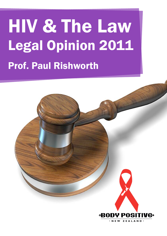# HIV & The Law Legal Opinion 2011 Prof. Paul Rishworth

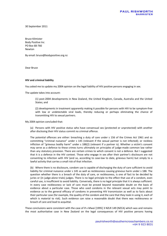30 September 2011

Bruce Kilmister Body Positive Inc PO Box 68-766 Newton

By email: bruce@bodypositive.org.nz

Dear Bruce

#### **HIV and criminal liability**

You asked me to update my 2004 opinion on the legal liability of HIV positive persons engaging in sex.

The update takes into account:

(1) post-2004 developments in New Zealand, the United Kingdom, Canada, Australia and the United States; and

(2) developments in treatment apparently making it possible for persons with HIV to be symptom-free with low or undetectable viral loads, thereby reducing or perhaps eliminating the chance of transmitting HIV to sexual partners.

My 2004 opinion concluded that:

(a) Persons with HIV positive status who have consensual sex (protected or unprotected) with another after disclosing their HIV status commit no criminal offence.

The potential offences are either: breaching a duty of care under s 156 of the Crimes Act 1961 and so committing "criminal nuisance" under s 145 (relevant if the sexual partner is not infected); or reckless infliction of "grievous bodily harm" under s 188(2) (relevant if a partner is). Whether a victim's consent may serve as a defence to these crimes turns ultimately on principles of judge-made common law rather than any statutory provision. There are certain crimes to which consent is not a defence. But I suggested that it is a defence in the HIV context. Those who engage in sex after their partner's disclosure are not consenting to infection with HIV (and so, according to case-law to date, grievous harm) but simply to a lawful activity that carries a small risk of that infection.

(b) Where there is no disclosure, condom use is capable of discharging the duty of care sufficient to avoid liability for criminal nuisance under s 145 as well as recklessness causing grievous harm under s 188. The question whether there is a breach of the duty of care, or recklessness, is one of fact to be decided by juries or (in judge-alone trials) judges. There is no legal principle to the effect that use of a condom, even careful use, is insufficient to avoid liability. Conversely, there is no legal principle that it is always sufficient. In every case recklessness or lack of care must be proved beyond reasonable doubt on the basis of evidence about a particular case. Those who used condoms in the relevant sexual acts may point to evidence as to the general efficacy of condoms in preventing HIV transmission as well as to facts about their particular case (for example, the quality of the condom and the care that they took in using it, each of which is material to risk). Such evidence can raise a reasonable doubt that there was recklessness or breach of care and lead to acquittal.

These conclusions were consistent with the case of *R v Mwai* [1995] 3 NZLR 149 (NZCA) which was and remains the most authoritative case in New Zealand on the legal consequences of HIV positive persons having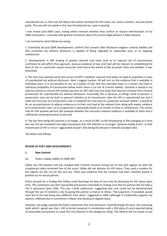unprotected sex. In that case Mr Mwai had neither disclosed his HIV status nor used a condom, and was found guilty. The case did not speak to the case of protected sex, save in passing.

I now review post-2004 cases, noting where relevant whether they confirm or require reformulation of my 2004 conclusions. I conclude with general comments about the current legal position in New Zealand.

I can summarise what follows by saying:

1. Essentially all post-2004 developments confirm that consent after disclosure negates criminal liability and that protected sex without disclosure is capable of being regarded as reasonable care, or as negating recklessness.

2. Developments in ART leading to greatly reduced viral loads (and so to reduced risk of transmission) contribute to and affirm that approach, because evidence of low viral load will be relevant to establishing the level of risk in a particular sexual encounter (and hence the extent of the accused's duty and whether it was breached).

3. The new issue opened up by the success of ART is whether reduced viral loads can lead to acquittals in cases of unprotected sex without disclosure. Here I suggest caution. All will turn on the evidence that is available in individual cases. It is not possible to say, as a matter of law, that (for example) there is a certain viral load or statistical probability of transmission below which there is no risk of criminal liability. Certainly it would in my view be unwise to counsel HIV positive persons on ART with low viral loads that they are immune from criminal prosecution for unprotected sex without disclosure. Essentially this is because, as things stand at present, a prosecution case can be built on general statistics as to transmission rates for HIV in unprotected sex and it need not form part of a prosecution case to establish the viral load of a particular accused. Rather, it would be for an accused person to adduce evidence as to their viral load at the relevant time along with expert evidence as to transmission rates, so as to generate a reasonable doubt as to breach of duty or recklessness. This carries risks for HIV positive persons (for example whether the necessary relevant evidence is available to them and is sufficiently contemporaneous to the sex).

4. The fact that being HIV positive is no longer, as a result of ART, as life-threatening or life-changing as it once was has not yet translated into legal conclusions that HIV infection is no longer "grievous bodily harm", or that transmission of HIV is not an "aggravated assault" (this being the phrase in relevant Canadian law).

The detail now follows.

#### **REVIEW OF POST-2004 DEVELOPMENTS**

#### **1. New Zealand**

#### *(a) Police v Dalley* (2005) 22 CRNZ 495

Dalley was HIV positive and was charged with criminal nuisance arising out of oral and vaginal sex with the complainant (who remained free of the virus). Dalley did not disclose his HIV status. They used a condom for the vaginal sex but not for the oral sex. There was evidence that the condom had been carefully placed in position by his sexual partner.

Police pressed for a finding that Dalley could discharge his duty of care only by *disclosing* his HIV status (para [25]). The contention was that reasonable precautions extended to making sure that his partner did not take a risk in ignorance (para [28]). This was a bold submission, suggesting that care could not be demonstrated through the use of condoms; only by giving the partner a chance to refuse. That argument, if accepted, would have led to the law being very different from what I suggested in 2004 (although it incidentally supports my opinion, reflected also in comments in *Mwai*, that disclosure negates duty).

However, the judge rejected the Police submission that only disclosure could discharge the duty. Her reasoning (with which I agree) was that s 145 (criminal nuisance) in combination with s 156 (duty of care) required taking of reasonable precautions to avoid the risk inherent in the dangerous thing. The offence did not speak to any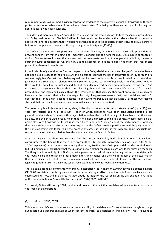requirement of disclosure. And, having regard to the evidence of the relatively low risk of transmission through protected sex, reasonable precautions had in fact been taken. That being so, there was no basis for finding that non-disclosure was legally culpable.

The judge said there might be a 'moral duty' to disclose but the legal duty was to take reasonable precautions, and Dalley had done that. She felt fortified in that conclusion by evidence that relevant health professional bodies chose not to advocate that HIV positive persons be counselled to disclose their status to sexual partners, but instead emphasised prevention through using protection (paras [47-48]).

The *Dalley* case therefore supports my 2004 opinion. The duty is about taking reasonable precautions to prevent danger from materialising, and, importantly condom use can fulfil the duty. Disclosure is conceptually distinct. Disclosure would mean that any sex that then eventuates could not be regarded as criminal, the sexual partner having consented to run the risk. But the absence of disclosure does not mean that reasonable precautions have not been taken.

I should also briefly mention the 'oral sex' aspect of the *Dalley* decision. A separate charge of criminal nuisance had been laid in respect of the oral sex. All the experts agreed that the risk of transmission of HIV through oral sex was negligible. On that basis, Dalley argued that he owed no duty to his partner in relation to the oral sex (as indeed he also argued in relation to vaginal sex for the same reason – of negligible risk). If he owed no duty, there could be no failure to discharge a duty. But the judge rejected this 'no duty' argument, saying that s 156 was clear that anyone who had in their control a thing that could endanger human life must take 'reasonable precautions'. And Dalley had such a 'thing', the HIV infection. That said, she then went on to say (I am speaking here about the oral sex) that he had discharged his duty. She gave two reasons: first, that the risk was so low 'it does not register as a risk'; second, because 'in any event Mr Dalley did not ejaculate'. For these two reasons she held that reasonable precautions and reasonable care had been exercised.

That reasoning is a little suspect. In my view, if the risk in the encounter was 'virtually none' (para [37]) and '[did] not register as a risk' (para [39]) – each of which appear to have been conclusions about oral sex generally and not about 'oral sex without ejaculation' – then the conclusion ought to have been that there was no duty. The evidence would really mean that HIV is not a dangerous thing in a context where there is no or negligible risk of transmission. If that is so, then there is nothing "special" about the performance of oral sex that needs to be done to take care to avert any risk. In the *Dalley* case it is possible to read the judgment as if the non-ejaculating was taken to be the exercise of care. But, as I say, if the evidence about negligible risk related to oral sex with ejaculation then this was not a relevant factor in *Dalley*.

As to the vaginal sex, there was evidence from his doctor that Dalley had a low viral load. This evidence contributed to the finding that the risk of transmitting HIV through unprotected sex was low (8 to 20 per 10,000 exposures) with condom use reducing that risk by 80-85%. My 2004 opinion did not discuss viral loads. But I did emphasise throughout that the question as to whether reasonable care was taken turns on the facts. The thing to add now in light of *Dalley* is that a person with medical tests indicating reduced or undetectable viral loads will be able to advance those medical tests in evidence, and they will form part of the factual matrix that determines the level of risk in the relevant sexual act, and hence the level of care that the accused was legally required to take. In *Dalley* the salient facts were both low viral load and condom use.

There is some academic commentary on *Dalley.* In Robertson (ed) *Adams on Criminal Law* it is discussed in para CA156.02 consistently with my views above. In an article by a VUW student Amelia Evans similar views are expressed and I note she also shares my view about the illogic of the reasoning on the oral sex point ("Critique of the Criminalisation of Sexual HIV Transmission" (2007) 38 VUWLR 517).

So, overall, *Dalley* affirms my 2004 opinion and points to the fact that available evidence as to an accused's viral load can be important.

#### *(b) R v Lee [2006] NZCA*

This was not an HIV case: it is a case about the availability of the defence of 'consent' to a manslaughter charge. But it sets out a general analysis of when consent operates as a defence in criminal law. This is relevant to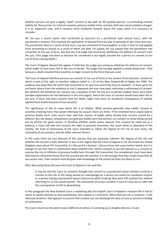whether persons can give a legally "valid" consent to sex with an HIV positive partner, so precluding criminal liability for that partner on criminal nuisance, grievous bodily harm, and (we shall see) sexual violation charges. It is an important case, and it contains some incidental remarks about HIV cases which it is necessary to consider.

Mr Lee was a church pastor who conducted an exorcism on a parishioner over several hours, with the parishioner's consent. This involved the application of physical force by way of pressing on her chest and neck. The parishioner died as a result of that force. Lee was convicted of manslaughter at trial, in that he had applied force amounting to assault as a result of which she died. On appeal, Mr Lee argued that the parishioner had consented to the use of force, but that the trial judge had incorrectly withdrawn the defence of consent from the jury. (The judge had done so because he considered it not legally possible for a person to consent to the use of force causing death.)

The Court of Appeal allowed the appeal. It held that the judge was wrong to withdraw the defence of consent, which ought to have been left to the jury to decide. The judge had wrongly applied a results-based test – that because a death resulted there could be no legal consent to the force that was used.

The Court of Appeal held that persons can consent to the use of force in the context of an exorcism, conduct of which is part of the right to manifest religious belief in s 15 of the New Zealand Bill of Rights Act 1990. The evidence was plain that the victim had consented to an exorcism and to the force it involved – at least up to the end point where from the evidence at trial it appeared she may have been indicating a withdrawal of consent. But whether she withdrew her consent was a question of fact for the jury to decide (indeed, there were other possible explanations for her behaviour in the end stages). Hence the issue of consent should have been left to the jury. If there had been consent then her death might have been an accidental consequence of lawfully applied force (lawful because of her consent).

The significance of this to cases about HIV is as follows. While persons generally may validly consent to activities involving force that would otherwise be assault, there are limits. If the intended force would lead to grievous bodily harm, then courts have said that reasons of public policy dictate that consent cannot be a defence. But not always: amputations are grievous bodily harm but persons can consent to those being carried out by doctors for good reason. In deciding whether public policy requires that consent be ruled out as a defence, a Court will take into account the right to personal autonomy, the social utility or otherwise of the activity, the level of seriousness of the injury intended or risked, the degree of the risk of such injury, the rationality of any consent, and any other relevant factors.

In HIV cases there are two features of this calculus that are especially relevant: the degree of the risk and whether the consent is fully informed. It was in this regard that the Court of Appeal in *Lee* discussed two United Kingdom cases about HIV transmittal, *R v Dica* and *R v Konzani*. I discuss those two cases further below, but it is enough to say here that in combination they establish that, before consent to sex will operate as a consent to assume the risk of infliction of grievous bodily harm through HIV transmittal, the complainant must have been informed (or otherwise know) that the accused was HIV positive. It is not enough that they simply know that all sex carries risks. Their consent must be given with knowledge of the *actual* risk they are about to run.

After discussing those UK cases the Court of Appeal in *Lee* said this:

It may be that the Court [in *Konzani*] thought that consent to unprotected sexual relations could be a consent to the risk of HIV being passed on unknowingly by a person but could not constitute consent to a person having unprotected sexual intercourse while knowing they were HIV positive but without informing his or her sexual partner. *The precaution of using a condom is such an easy one to take and the consequences of HIV so devastating.*

In this paragraph the New Zealand Court is explaining why the English Court of Appeal in *Konzani* felt it had to clarify its earlier decision in *Dica* (something I also explain in a moment)*.* What interests me is, however, is the italicised sentence: that appears to assume that condom use can discharge the duty of care or prevent a finding of recklessness.

The Court returns to the point in para [309] of *Lee* where, in summing up its lengthy decision, it said: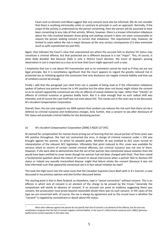Cases such as *Konzani* and *Mwai* suggest that any consent must also be informed. We do not consider that there is anything intrinsically unfair or contrary to principle in such an approach. Normally, if the scope of the activity is understood by the person consenting, then the person will be assumed to have been consenting to any risks of that activity. Where, however, there is a known information imbalance about the risks involved between those giving and seeking consent it does not seem unreasonable to require the person seeking consent to correct that imbalance. *This requirement may, however, be limited to cases where the risk is major because of the very serious consequences if it does eventuate (such as with unprotected sex and HIV)*.

Again, that indicates the Court's view that unprotected sex where the accused fails to disclose HV status may constitute a criminal offence, but that protected sex is different because it is not "major". This, of course, is what *Dally* decided. But because *Dally* is only a District Court decision, the Court of Appeal's passing observation in *Lee* is important as a clue as to how that Court might approach such a case.

I emphasise that *Lee* is not about HIV transmission and so its comments cannot be read as if they set out any legal principle. But it is nonetheless significant that the Court appears to regard the greatly reduced risk in protected sex as militating against the conclusion that only disclosure can negate criminal liability and that use of condoms cannot be enough.

Finally I add that the paragraph just cited from *Lee* is capable of being read as if the information imbalance spoken of (where one partner knows he is HIV positive but the other does not know) might vitiate the consent so as to convert apparently consensual sex into an offence of sexual violation by rape, rather than "merely" an offence of criminal nuisance or grievous bodily harm. But it is clear enough that no such radical shift was intended, and of course the case itself was not even about HIV. This comes out in the next case to be discussed, *M v Accident Compensation Corporation.*

Overall, then, the *Lee* case supports my 2004 opinion that condom use reduces the risk such that there can be a defence to criminal nuisance and recklessness charges. And, further, that a consent to sex after disclosure of HIV status will preclude criminal liability for the disclosing partner.

#### (c) *M v Accident Compensation Corporation* [2006] 3 NZLR 127 (HC)

 $\overline{a}$ 

M claimed for compensation for mental shock arising out of learning that her sexual partner of three years was HIV positive throughout. She had not contracted the virus. A charge of criminal nuisance under s 156 was brought against her partner, to which he pleaded guilty. Whether M was entitled to ACC cover turned on interpretation of the relevant ACC legislation. Ultimately that point reduced to this: cover was available for nervous shock to victims of certain named criminal offences, but criminal nuisance was not one of them. However, if she were able to demonstrate that the act of her partner also constituted sexual violation then she would have been entitled to cover (even though her partner had not been charged with that). That then raised a fundamental question about the nature of consent to sexual intercourse when a partner fails to disclose HIV status or indeed any sexually transmitted disease: might that failure vitiate the consent (because it was not fully informed) such that apparently consensual sex is in fact sexual violation by rape?

This took the High Court into the same issue that the Canadian Supreme Court dealt with in *R v Cuerrier*, a case discussed in my previous opinion and also further discussed below.

The starting point is that in New Zealand, as elsewhere, rape is "sexual connection" without consent. This is an offence in which lack of consent is an element of the charge to be proved by the Crown.<sup>1</sup> Generally the complainant will testify to absence of consent. If an accused can point to evidence suggesting there was consent, the prosecution must prove beyond reasonable doubt there was no such consent. In HIV cases of the type we are concerned with, of course, the sex is always by agreement and so the crucial issue is whether the "consent" is negated by concealment or deceit about HIV status.

Most other offences against the person do not specify that lack of consent is an element of the offence, but the law may nonetheless recognize that the fact of consent negates criminal liability. In the case of s 148 (criminal nuisance) and s 188(2) (grievous bodily harm) consent operates in this latter way.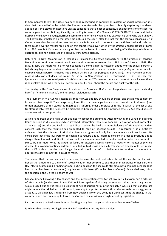In Commonwealth law, this issue has been long recognised as complex. In matters of sexual interaction it is clear that there will often be half-truths, lies and soon-to-be-broken promises. It is a big step to say that deceit about a person's status or intentions vitiates consent so that an act of consensual sex becomes one of rape. No country goes that far. But, significantly, in the English case of *R v Clarence* (1889) 22 QB 23 it was held that a husband who knew he had gonorrhoea committed no offence when he had sex with his wife (who didn't know). The knowledge imbalance on that issue did not, said the court, alter the fact that the sex was consensual. *R v Clarence* was also the notorious case that said a wife is deemed to consent to sex with her husband such that there could never be marital rape, and on this aspect it was overturned by the United Kingdom House of Lords in a 1992 case. But *Clarence* remains good law on the issue of consent to sex being effective to preclude rape charges despite non-disclosure of a sexually transmitted disease.

Returning to New Zealand law, it essentially follows the *Clarence* approach as to the efficacy of consent. Deception in sex vitiates consent only in narrow circumstances covered by s 128A of the Crimes Act 1961. This says, in part, that there will be no valid consent if a complainant is mistaken about who the sexual partner *is* (which may happen in the dark or when alcohol is involved), or as to the *nature and quality* of the act (as, for example, when a person is tricked into a sexual act by a person posing as a physician). There may also be other reasons why consent does not count. But so far in New Zealand law is concerned it is *not* the case that ignorance about a proposed partner's HIV status or other STDs means there is no consent. In such cases there is no mistake about who the sexual partner is, nor, it is said, about the nature and quality of the act.

That is why, in the New Zealand cases to date such as *Mwai* and *Dalley*, the charges have been "grievous bodily harm" or "criminal nuisance", and not sexual violation as such.

The argument in *M v ACC* was essentially that New Zealand law should be changed, and that it was competent for a court to change it. The change sought was this: that sexual partners whose consent is not informed (due to non-disclosure of HIV status) be regarded as suffering under a mistake as to the "quality" of the act of sex. Or alternatively, that their consent be disregarded because it is not fully informed (the *R v Lee* case discussed above was said to support this).

Justice Randerson of the High Court declined to accept the argument. After reviewing the Canadian Supreme Court decision in *R v Cuerrier* (which involved interpreting then new Canadian legislation about consent in assault cases) and the two English cases I discuss below, he held that non-disclosure of HIV could not vitiate consent such that the resulting sex amounted to rape or indecent assault. He regarded it as a sufficient safeguard that the offences of criminal nuisance and grievous bodily harm were available in such cases. He considered that if the law were to be changed to require a fully informed consent in order to preclude a rape charge, then it would be difficult to draw the line as to what needed to be disclosed in order for a consent to sex to be informed. What, he asked, of failure to disclose a family history of obesity, or mental or physical disease, to a woman wanting children, or of a failure to disclose a sexually transmitted disease of lesser impact than HIV? Such a complex law change, he said, should be left to Parliament to consider. It was not an appropriate development for a court to make.

That meant that the woman failed in her case, because she could not establish that the sex she had had with her partner amounted to a crime of sexual violation. Her consent to sex, though in ignorance of her partner's HIV infection, precluded a finding of rape. But, to be clear, the sex could still amount to criminal nuisance (and her partner had been so convicted) or grievous bodily harm (if she had been infected). As we shall see, this is the position in the United Kingdom as well.

Canada differs. Following a law change and the interpretation given to that law in *R v Cuerrier*, non-disclosure of HIV status is (as discussed in my 2004 opinion) capable of vitiating consent such that there is aggravated sexual assault but only if there is a significant risk of serious harm in the sex act. It was said that condom use might reduce the risk below that threshold, meaning that protected sex without disclosure is not an aggravated assault. So Canadian law is different from New Zealand law on this point. It is significant that the change in that country (which had previously followed the *Clarence* case also) was brought about by legislation.

I am not aware that Parliament is in fact looking at any law change to this area of law in New Zealand.

It follows that there is nothing in the *M v ACC* case that alters my 2004 opinion.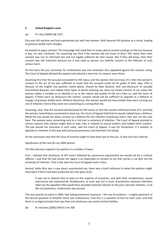#### **2. United Kingdom cases**

## *(a) R v Dica* [2004] QB 1257.

Dica was HIV positive and had unprotected sex with two women. Both became HIV positive as a result, leading to grievous bodily harm charges.

He wished to argue consent. The trial judge had ruled that no issues about consent could go to the jury because it was, he said, irrelevant. His reasoning was that if the women did not know of Dica's HIV status then their consent was not an informed one and not legally sufficient for that reason. But if they *did* know, then their consent was still irrelevant because (so it was said) no person can lawfully consent to the infliction of such serious harm.

On this basis the jury convicted, for recklessness was not contested. Dica appealed against the consent ruling. The Court of Appeal allowed the appeal and ordered a new trial. Its reasons were these:

Assuming first that the accused concealed his HIV status and the women did not know of it, then the women's consent to the act of sex was sufficient to mean that the accused could not be guilty of their *rape*. (This is because of the English law position noted above, shared by New Zealand, that non-disclosure of sexually transmitted diseases, and indeed other types of deceit inducing sex, does not vitiate consent to sex unless the woman makes a mistake as to identity or as to the nature and quality of the act.) Even so, said the Court of Appeal, if there were no disclosure the victims' consent would not be sufficient to operate as a defence to charges of *grievous bodily harm*. Without disclosure, the women would not have known they were running any risk of infection; hence they were not consenting to running that risk.

Assuming, next, that the accused *had* disclosed his HIV status or that the women otherwise knew of it, and that the women nevertheless consented to have sex, the Court of Appeal held that he would indeed have a defence. While the law would not allow consent as a defence for the infliction of grievous harm, that was not the case here. The women were consenting only to a risk (not a certainty) of infection. The Court of Appeal pointed to various reasons why citizens might wish to take risks in relation to sexual matters and indeed other matters. The law should not intervene in such cases, said the Court of Appeal. It was for Parliament, if it wished, to legislate to interfere in this way with personal autonomy and informed risk-taking.

So the conclusion was that the issue of consent ought to have been put to the jury. A new trial was ordered.

#### *Significance of the case for my 2004 opinion*

The *Dica* decision supports my opinion in a number of ways:

First, I advised that disclosure of HIV status followed by consensual unprotected sex would not be a criminal offence. I said that the law would not regard it as impossible to consent to sex that carries a risk (but not the certainty) of infection. That is the view the Court of Appeal took in *Dica.*

Second, while *Dica* was a case about unprotected sex, there was a brief reference to what the position might have been if there had been protected sex only (para [11]):

It was not in dispute that at least on the majority of occasions, and with both complainants, sexual intercourse was unprotected. Recklessness, as such, was not in issue. *If protective measures had been taken by the appellant that would have provided material relevant to the jury's decision whether, in all the circumstances, recklessness was proved.*

This was exactly my point in 2004: that taking protective measures – the use of condoms – is highly pertinent to the factual question of whether there was recklessness; that this is a question of fact for each case; and that there is no legal principle that says that only disclosure can avoid criminal liability.

# *(b) R v Konzani [2005] EWCA Crim 706*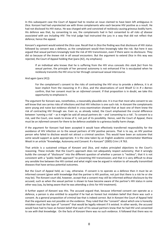In this subsequent case the Court of Appeal had to resolve an issue claimed to have been left ambiguous in *Dica.* Konzani had had unprotected sex with three complainants who each became HIV positive as a result. He had not disclosed his HIV status. He was charged with and convicted of recklessly causing grievous bodily harm. His defence was that, by consenting to sex, the complainants had in fact consented to *all risks of disease associated with sex including HIV*. The trial judge had instructed the jury in a way that did not reflect that defence; hence the appeal.

Konzani's argument would extend the *Dica* case. Recall that in *Dica* the finding was that disclosure of HIV status followed by consent was a defence, as the complainant would then knowingly take the risk. But here it was argued that sexual partners knowingly took the risk of HIV transmission, even if there were no disclosure. They did so because of the *known risk in all sexual encounters*. But the argument to extend *Dica* in this way was rejected, the Court of Appeal holding that (para [42], my emphasis):

If an individual who knows that he is suffering from the HIV virus conceals *this stark fact* from his sexual partner, the principle of her personal autonomy is not enhanced if he is exculpated when he recklessly transmits the HIV virus to her through consensual sexual intercourse.

#### And again (para [41]):

For the complainant's consent to the risks of contracting the HIV virus to provide a defence, it is at least implicit from the reasoning in *R v Dica*, and the observations of Lord Woolf CJ in *R v Barnes* confirm, that her consent must be an *informed* consent. If that proposition is in doubt, we take this opportunity to emphasise it.

The argument for Konzani was, nonetheless, a reasonably plausible one. It is true that most who consent to sex will know that sex carries risks of infections and that HIV infection is one such risk. In *Konzani* the complainants were young and naive but evidence elicited in cross-examination showed that at least one of them knew the risk of contracting HIV through sex. Even so, as already noted, the Court emphasised the crucial difference between '*running* a risk' – as it might be said all sexual partners do – and '*consenting* to a risk'. To consent to a risk, said the Court, one needs to know of it, not just of its possibility. Hence, said the Court of Appeal, there must be an *informed* consent for there to be defence available to a grievous bodily harm charge.

If the argument for Konzani had been accepted it would have effectively transferred responsibility for the avoidance of HIV infection on to the sexual partners of HIV positive persons. That is to say, an HIV positive person who failed to disclose would not attract a criminal sanction. This would have been an outcome that some would support as quite appropriate. It is the view taken by an English academic commentator Matthew Weait in an article "Knowledge, Autonomy and Consent: R v Konzani" (2005) Crim L R 763.

That article is a sustained critique of *Konzani* and *Dica*, and makes principled objections to the Court's reasoning. These include: that the Court's approach does not adequately respect autonomy; that it wrongly builds the concept of "disclosure" into the different question of whether a person is "reckless"; that it is not consistent with a "public health approach" to preventing HIV transmission; and that it is very difficult to draw any sensible line between the HIV context and what might now be argued in relation to *all* sexually transmitted diseases that have serious potential outcomes.

But the Court of Appeal held, as I say, otherwise. If consent is to operate as a defence then it must be an informed consent (given with knowledge that the partner is HIV positive, not just that there is a risk he or she may be). The *Konzani* court did, however, accept that a consent may still be informed *without* disclosure by the accused, such as when the sexual partner is shown to have become aware of the partner's HIV status in some other way (say, by being aware that he was attending a clinic for HIV treatment).

A further aspect of *Kanzani* was this. The accused argued that, because informed consent *can* operate as a defence, a person is also entitled to acquittal if he had an honest but mistaken belief that there was such a consent. As a general proposition of criminal law that is indeed correct. But in *Konzani* the Court of Appeal held that the argument was not possible on the evidence. They ruled that the "consent" about which one is honestly mistaken must be the type of "consent" that would be legally relevant if it existed. In other words, the accused would have had to have an honest belief that each of his sexual partners knew that he had HIV and consented to sex *with that knowledge*. On the facts of *Konzani* there was no such evidence. It followed that there was no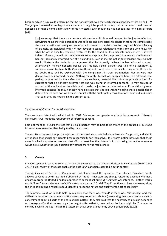basis on which a jury could determine that he honestly believed that each complainant knew that he had HIV. The judges discussed some hypotheticals where it might be possible to say that an accused could have an honest belief that a complainant knew of his HIV status even though he had not told her of it himself (para [44]):

[...] we accept that there may be circumstances in which it would be open to the jury to infer that, notwithstanding that the defendant was reckless and concealed his condition from the complainant, she may nevertheless have given an informed consent to the risk of contracting the HIV virus. By way of example, an individual with HIV may develop a sexual relationship with someone who knew him while he was in hospital, receiving treatment for the condition. If so, her informed consent, if it were indeed informed, would remain a defence, to be disproved by the prosecution, even if the defendant had not personally informed her of his condition. Even if she did not in fact consent, this example would illustrate the basis for an argument that he honestly believed in her informed consent. Alternatively, he may honestly believe that his new sexual partner was told of his condition by someone known to them both. Cases like these, not too remote to be fanciful, may arise. If they do, no doubt they will be explored with the complainant in cross-examination. Her answers may demonstrate an informed consent. Nothing remotely like that was suggested here. In a different case, perhaps supported by the defendant's own evidence, material like this may provide a basis for suggesting that he honestly believed that she was giving an informed consent. He may provide an account of the incident, or the affair, which leads the jury to conclude that even if she did not give an informed consent, he may honestly have believed that she did. Acknowledging these possibilities in different cases does not, we believe, conflict with the public policy considerations identified in *R v Dica*. That said, they did not arise in the present case.

#### *Significance of Konzani for my 2004 opinion*

The case is consistent with what I said in 2004. Disclosure can operate as a basis for a consent. If there is disclosure, it will meet the requirement of informed consent.

I did not mention in 2004 the fact that a sexual partner may be held to be aware of the accused's HIV status from some source other than being told by the accused.

The two UK cases are an emphatic rejection of the "sex-has-risks-and-all-should-know-it" approach, and with it, of the idea that sexual participants bear responsibility for themselves. It is worth noting however that these cases involved unprotected sex and that *Dica* at least has the dictum in it that taking protective measures would be relevant to the jury question of whether there was recklessness.

#### **3. Canada**

My 2004 opinion is based to some extent on the Supreme Court of Canada decision in *R v Cuerrier* [1998] 2 SCR 371. A quick review of that case enables the post-2004 Canadian cases to be put in context.

The significance of *Cuerrier* in Canada was that it addressed this question. The relevant Canadian statute allowed consent to be disregarded if obtained by "fraud". That statutory change raised the question whether a departure from the United Kingdom approach to consent set out in *R v Clarence* was intended*.* In other words, was it "fraud" to not disclose one's HIV status to a partner? Or did "fraud" continue to bear a meaning along the lines of inducing a mistake about identity or as to the nature and quality of the act of sex itself?

The Supreme Court of Canada held by majority that there was "fraud" if there was "dishonesty" and that deliberate deceit or concealment of HIV status may count as such. But (recognising that there can be deceit or concealment about all sorts of things in sexual matters) they also said that the necessity to disclose depended on the *deprivation* that the sexual partner might suffer – that is, how serious the harm might be. That was the context in which the Court made the statement that I emphasised in my 2004 opinion (para [129]):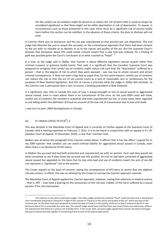*Yet the careful use of condoms might be found to so reduce the risk of harm that it could no longer be considered significant so that there might not be either deprivation or risk of deprivation.* To repeat, in circumstances such as those presented in this case, there must be a significant risk of serious bodily harm before the section can be satisfied. In the absence of those criteria, the duty to disclose will not arise.

In *Cuerrier* there was no disclosure and the sex was unprotected so that proviso was not dispositive. The trial judge had directed the jury to acquit the accused, on the conventional approach that there had been consent to the sex with no mistake as to identity or as to the nature and quality of the act. But the Supreme Court's decision that deception about HIV could vitiate consent meant that a new trial was ordered, for a finding of guilt was possible given the Court's conclusion as to what counted as "fraud".  $^{2}$ 

It is true, as the judge said in *Dalley*, that *Cuerrier* is about different legislation (sexual assault rather than criminal nuisance or grievous bodily harm). That said, it is significant that the Canadian Supreme Court was prepared to recognise that careful use of condoms might reduce risk such that the "deprivation" suffered by a person – that is, the degree of risk to which they were exposed – was too low to vitiate consent and attract criminal consequences. It does not seem a big step to argue that, for the same reasons, careful use of condoms can reduce the risk so that the act of sex cannot count as a lack of reasonable care or recklessness for the purposes of New Zealand legislation. And this of course is precisely what the judge in *Dalley* did conclude. So the *Cuerrier* case is persuasive (but is not, of course, a binding precedent in New Zealand).

It is significant, also, that in Canada this class of case is always brought as one of sexual assault or aggravated sexual assault, even in cases where there is no transmission of the virus. As the post-2004 cases will show, careful use of condoms has resulted in acquittals and even unprotected sex has, in some cases, been regarded as not falling within the definition of fraud on account of the low risk of transmission due to low viral loads.

I now turn to post- 2004 developments in Canada:

# *(a)*  $R \vee \text{Mabior}$  (2010) 79 CR (6<sup>th</sup>) 1.

This was decided in the Manitoba Court of Appeal and is currently on further appeal to the Supreme Court of Canada, with a hearing expected on February 7, 2012. It is to be heard in conjunction with an appeal in *R v DC* (Quebec Court of Appeal, 13 December 2010), a case that I mention next.

*Mabior* was all about the paragraph from *Cuerrier* noted above. It affirms that it has the effect I argued for in my 2004 opinion: that condom use can avoid criminal liability for aggravated sexual assault in Canada, even when there is no disclosure of HIV status.

In *Mabior* the accused had had both protected and unprotected sex with six women. Each said they would not have consented to sex if they knew the accused was HIV positive. At trial he had been convicted of aggravated sexual assault but appealed on the basis that his low viral load and use of condoms meant the acts of sex did not represent a "significant" risk to the women.

The Crown argued on the basis of consent, saying the consequences of HIV were so severe that the slightest risk was serious. In effect, this was an attempt by the Crown to narrow the *Cuerrier* approach severely.

The Manitoba Court of Appeal applied the *Cuerrier* approach, however, noting that advances in medical science – that is, ART – now have a bearing on the seriousness of the risk and, indeed, of the harm suffered by a sexual partner if the risk eventuated.

 $\overline{2}$ The majority on this point comprised 4 judges. Two other judges would have said that "fraud" could not have such a meaning but were nonetheless prepared to interpret it in light of the concept of "fraud as to the nature and quality of the act" which was part of the common law. On this basis they were prepared to extend the idea of fraud as to the quality of the act so that it embraced deceit or nondisclosure about HIV in essentially the same way. The seventh judge would have held that there was fraud if there was dishonesty, *without* the requirement that there be a serious risk of bodily harm. In the result, then, all seven judges agreed that Cuerrier should be tried again because his deceit was well capable of constituting fraud on each of the judicial approaches.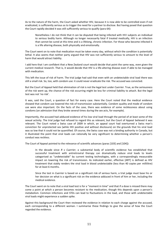As to the nature of the harm, the Court asked whether HIV, because it is now able to be controlled even if not eradicated, is sufficiently serious as to trigger the need for a partner to disclose. But having posed that question the Court rapidly decided it was still sufficiently serious to qualify (para 64):

Nonetheless I do not think that it can be disputed that being infected with HIV subjects an individual to serious bodily harm. Although no longer necessarily fatal if treated medically, HIV is an infection that cannot be cured at this time and is a lifelong, chronic infection. For those who become infected it is a life altering disease, both physically and emotionally.

The Court went on to note that medication must be taken every day, without which the condition is potentially lethal. It also seems that neither party argued that HIV was not sufficiently serious to amount to the level of harm that would attract liability.

I add here that I am confident that a New Zealand court would decide that point the same way, even given the current medical research. That is, it would decide that HIV is a life-altering disease even if able to be managed with medication.

This left the issue of risk of harm. The trial judge had said that even with an undetectable viral load there was still a small risk. So, too, with condom use: it could never eradicate the risk. The accused was convicted.

But the Court of Appeal held that elimination of risk is not the legal test under *Cuerrier*. True, as the seriousness of the risk went up, the chance of the risk occurring might be less for criminal liability to attach. But the legal test was not 'no risk'.

It was, said the Court, a question of fact for every case. Here the Court noted that the medical evidence showed that condom use lowered the risk of transmission substantially. Condom quality and mode of condom use were also important. On the facts of the case, there was evidence of some recklessness about using condoms (an admission that they broke several times during the sex acts, for example).

Importantly, the accused had adduced evidence of his low viral load through the period of at least some of the sexual activity. The trial judge had refused to regard this as relevant, but the Court of Appeal believed it was relevant. The Court noted a Swiss case of 2009 in which, an appeal court had overturned a Swiss man's conviction for unprotected sex (while HIV positive and without disclosure) on the grounds that his viral load was so low that it could not be quantified. Of course, the Swiss case was not a binding authority in Canada, but it illustrated the point that viral loads can rationally be very significant to determining whether a person's conduct was reckless.

The Court of Appeal pointed to the relevance of scientific advances (paras [103] and [104]):

In the decade since *R v Cuerrier*, a substantial body of scientific evidence has established that successful treatment with antiretroviral therapy can dramatically reduce viral loads to levels categorised as "undetectable" by current testing technologies, with a correspondingly measurable impact on lowering the risk of transmission. As indicated earlier, effective [ART] is defined as HIV treatment that stably renders the viral load in blood undetectable (less than 40 copies per millilitre) for at least 6 months.

Since the test in *Cuerrier* is based on a significant risk of serious harm, a trial judge must base his or her decision on what is a significant risk on the evidence adduced in front of him or her, including the medical evidence.

The Court went on to note that a viral load test is for a "moment in time" and that if a dose is missed there may come a point at which a person becomes resistant to the medication, though this depends upon a person's metabolism. Common infections and STDs can lead to fluctuations in the load, and those with undetectable viral loads might experience a sudden spike.

Against this background the Court then reviewed the evidence in relation to each charge against the accused, each corresponding to a different woman. I summarise these findings to give the sense of how the Court regarded the evidence.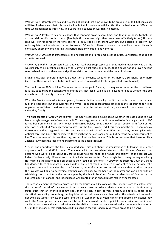*Woman no. 1.* Unprotected sex and viral load at around that time known to be around 6100 to 6300 copies per millilitre. Evidence was that this meant a low but still possible infectivity. Also that he had another STD at the time which heightened infectivity. The Court said a conviction was rightly entered.

*Woman no. 2.* Protected sex but evidence that condoms broke several times and that, in response to that, the accused did not disclose his status. (Prophylactic measures might then have been effectively taken.) His viral load was low for some of the time but not all (500 copies, consistent with low but possible infectivity, but reducing later in the relevant period to around 50 copies). Records showed he was listed as a chlamydia contact by another woman during this period. Held conviction rightly entered.

*Woman no. 3.* One act of protected sex and no suggestion of problems in condom use. Conviction set aside and acquittal entered.

*Women 4, 5 and 6.* Unprotected sex, and viral load was suppressed such that medical evidence was that he was unlikely to be infectious in this period. Conviction set aside on grounds that it could not be proven beyond reasonable doubt that there was a significant risk of serious harm around the time of this sex.

*Mabior* illustrates, therefore, how it is a question of evidence whether or not there is a sufficient risk of harm (such that there would need to be disclosure in order to avoid liability for aggravated sexual assault).

That confirms my 2004 opinion. The same reasons as apply in Canada, to the question whether the risk of harm is so low as to make the consent valid and the acts not illegal, will also be relevant here as to whether the acts are in breach of the duty of care in s 156.

What the *Mabior* case adds to my opinion, however, is the possibility that it is not only condom use that can fulfil the legal duty, but that evidence of low viral loads due to treatment can reduce the risk such that it is no regarded as sufficiently serious even in cases of unprotected sex (and that, as a result, the consent is not vitiated by fraud).

Two final aspects of *Mabior* are relevant. The Court recorded a doubt about whether the case ought to have been brought as *aggravated* sexual assault. To be an aggravated assault there had to be "endangerment to life". It had been assumed in *R v JAT,* which is discussed below, that a risk of serious bodily harm (such as HIV infection) constituted "endangerment to life". But the Court wondered if this remained the case given medical developments that suggested most HIV positive persons will die of a non-AIDS cause if they are compliant with optimal care. The Court still considered there might be serious bodily harm, but perhaps not endangerment of life. The issue was left for another day, and no final decision made. This is not an issue that bears on New Zealand law where the idea of endangerment to life doesn't feature.

Second, and importantly, the Court expressed some disquiet about the implications of following the *Cuerrier* approach, as it had dutifully done. There seemed to be two related strains to this disquiet. One was that persons who were lied to about HIV status could well feel that "the nature and quality" of the sex act was indeed fundamentally different from that to which they consented. Even though the risk may be very small, any risk might be thought to be too big because they "could be 'the one'". In *Cuerrier* the Supreme Court of Canada had decided there should not be such a wide definition of fraud in the area of consent to sexual activity lest it apply too often and "trivialise the issue". Even so, the *Mabior* Court expressed the view that in other contexts the law was well able to determine whether consent goes to the heart of the matter and can do so without trivialising the issue. I take this to be a plea by the Manitoba Court for reconsideration of *Cuerrier* by the Supreme Court of Canada, and indeed leave was granted for an appeal (quite rare in criminal cases).

The second element of concern expressed by the Court about *Cuerrier* was this: if courts are to explore what the nature of the risk of transmission is in particular cases in order to decide whether consent is vitiated by fraud (such that an offence is committed), then this can in fact be very difficult. Scientific evidence about statistical probability is one thing, but inquiries into actual cases are another. When the actual condom used is not available (almost always the case) and the sex was months or years earlier and affected by alcohol, how could the Crown prove that care was not taken if the accused is able to point to some evidence that it was? Similar issues arise with viral load evidence: the ability to show that an accused had a common infection or an STD at the time of sex that might have led to a spike in the viral load may very well prove to be elusive.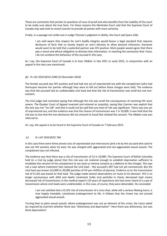These are comments that pertain to questions of onus of proof and who benefits from the inability of the court to be really sure about the true facts. For these reasons the Manitoba Court said that the Supreme Court of Canada may well wish to revisit *Cuerrier* to provide all parties with more certainty.

Finally, in a passage not unlike one in Judge Thomas's judgment in *Dalley*, the Court said (para 156):

I am well aware that respect for one's bodily integrity would favour a legal standard that requires disclosure of facts that so closely impact on one's decision to allow physical intimacies. Everyone would want to be told that a potential partner was HIV positive. Most people would agree that there was a moral and ethical obligation to disclose that information. In reaching the conclusion that I have, I do not condone the behaviour of the accused in this case.

As I say, the Supreme Court of Canada is to hear *Mabior* in late 2011 or early 2012, in conjunction with an appeal in the next case mentioned.

## *(b) R v DC 2010 QCCA 2289 (13 December 2010)*

The female accused was HIV positive and had had one act of unprotected sex with the complainant (who had thereupon become her partner although they were to fall out before these charges were laid). The evidence was that the accused had an undetectable viral load and that the risk of transmission was small but not nonexistent.

The trial judge had convicted saying that although the risk was small the consequences of receiving HIV were severe. The Quebec Court of Appeal reversed and entered an acquittal, saying that *Cuerrier* was explicit that the test was not "no risk" and that it could not be said that any level of risk was significant. There was one act of unprotected sex, and the evidence was that the chance of transmission was 1 in 10,000. It was held that the risk was so low that the non-disclosure did not amount to fraud that vitiated the consent. The *Mabior* case was referred to.

As I say, the appeal is to be heard in the Supreme Court of Canada on 7 February 2012.

#### *(c) R v JAT 2010 BCSC 766*

In this case there were three proven acts of unprotected anal intercourse (and a lie by the accused who said he was not HIV positive when he was). He was charged with aggravated and non-aggravated sexual assault. The complainant was not infected.

The evidence was that there was a risk of transmission of 12 in 10,000. The Supreme Court of British Columbia held (in a trial by judge alone) that this risk was not material enough to establish deprivation sufficient to invalidate the consent of the complainant to sex (and so remove consent as a defence to the charge). This was not a case where treatment had reduced the viral load – the accused's ART had not yet commenced. But the viral load was known (12,000 to 30,000 particles of HV per millilitre of plasma). Evidence as to the transmission risk of 0.12% was based on that load. The judge made several observations en route to his decision: HIV is no longer synonymous with AIDS and death; treatment holds viral particles in check; decreased load means decreased risk of transmission; in the medical expert's 20 years of experience she had never heard of a case of transmission where viral loads were undetectable. In this case, of course, they were detectable. He concluded:

I am not satisfied that a 0.12% risk of transmission of a virus that, while still a serious lifelong harm, is now largely treatable, constitutes endangerment to life. It follows that the Crown has not proved aggravated sexual assault.

Turning then to plain sexual assault, where endangerment was not an element of the crime, the Court asked (as required by *Cuerrier*) whether there was "dishonesty and deprivation". Here there was dishonesty, but was there deprivation?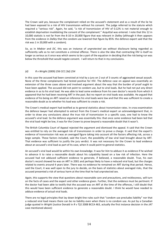The Crown said yes, because the complainant relied on the accused's statement and as a result of the lie he had been exposed to a risk of HIV transmission without his consent. The judge referred to the statute which required a "serious risk". Again, he said, "a risk of transmission of HIV of 0.12% is not material enough to establish deprivation invalidating the consent of the complainant." Acquittal was entered. I note that this 12 in 10,000 statistic is not far from the 8-10 in 20,000 figure that was relevant in *Dalley* (although it then appears from the evidence in *Dalley* that the condom use lowered that figure by 85%: the defence expert said that the risk was 1 in 20,000 with a condom).

So, as in *Mabior* and *DC*, this was an instance of *unprotected* sex *without* disclosure being regarded as sufficiently safe as to not constitute a criminal offence. There is also the idea that contracting HIV is itself no longer as serious as it once was which seems to be a part of the equation in deciding that the risk being run was below the threshold that would negate consent. I will return to that in my conclusions.

#### *(d) R v Wright (2009) 256 CCC (3d) 254*

In this case the accused had been convicted at trial by a jury on 2 out of 3 counts of aggravated sexual assault. None of the three complainants had tested positive for HIV. The defence case on appeal was essentially an extension of the three cases above and involved argument about the way that the burden of proof ought to have been applied. The accused did not point to condom use, but to viral loads. But he had not put any direct evidence in as to his viral load. He was able to lead some evidence from his own doctor's records from which it appeared that he had been receiving ART in the past. But no report on viral loads was available. He argued that evidence of his being on ART raised an inference his viral loads were low and that this was sufficient to create a reasonable doubt as to whether his load was sufficient to create a risk.

The Crown's medical expert had testified as to general statistics about transmission rates. In cross-examination the defence lawyer had attempted to extract from the Crown's medical expert an acknowledgement that, in order to draw any conclusions about the true risk of transmission in a specific case, one had to know the accused's viral load. So the defence argument was essentially this: that once *some* evidence had been led that the viral load might be low, it was for the Crown to prove beyond a reasonable doubt that it wasn't.

The British Columbia Court of Appeal rejected the argument and dismissed the appeal. It said that the Crown was entitled to rely on the averaged risk of transmission in order to prove a charge. It said that the expert's evidence of transmission risk was an averaged figure taking into account all the factors affecting risk, across a large sample. These factors included, said the Court, the possibility of low viral load brought about by ART. That evidence was sufficient to justify the jury verdict. It was not necessary for the Crown to lead evidence about an accused's viral load as part of its case, when it could point to general statistics.

An accused's viral load would lie within his own knowledge. It was for *him* to adduce it as evidence if he wished to advance it to raise a reasonable doubt about his culpability based on a low risk of infection. Here the accused had not adduced sufficient evidence to generate, if believed, a reasonable doubt. True, his own doctor's record showed he was on ART in 2001 and perhaps likely to have a reduced viral load, but the charges related to events around 4 years later. There was no evidence he remained on ART during that period. Hence, said the Court, it was well open to the jury to decide, on the basis of statistics about averaged risks, that the accused presented a risk of serious harm at the time that he had unprotected sex.

Again, this supports the view that questions about reasonable care and precautions, and recklessness, will turn on the facts of cases and the expert and other evidence given. Further, that the evidence must be pertinent. If the doctor had been able to testify that the accused was on ART at the time of the offences, I still doubt that this would have been sufficient evidence to generate a reasonable doubt. I think he would have needed to adduce evidence of actual viral loads.

There are no legal principles that lay down bright-line rules such that "condom use precludes liability" nor that a reduced viral load means there can be no liability even when there is no condom use. As put by a Canadian judge quoted in *Wright* (Justice Donald in *R v T(J)* 2008 BCCA 463, actually the first instance decision in the *JAT* case mentioned above)*:*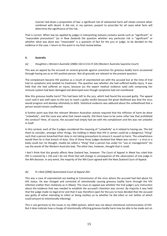*Cuerrier* laid down a proposition of law: a significant risk of substantial harm will vitiate consent when combined with deceit. It did not, in my opinion, purport to prescribe for all cases what facts will determine the significance of the risk.

That is correct. When law (as applied by judges in interpreting statues) contains words such as "significant", or "reasonable precautions" (as in New Zealand) the question whether any particular risk is "significant" or whether what was done was "reasonable" is a question of fact for the jury or judge, to be decided on the evidence in the case. I return to this point in my final review below.

## **4. Australia**

#### *(a) Houghton v Western Australia* (2006) 163 A Crim R 226 (Western Australia Supreme Court)

This was an appeal by the accused on several grounds against conviction for grievous bodily harm occasioned through having sex as an HIV positive person. Not all grounds are relevant to the present question.

The complainant became HIV positive as a result of unprotected sex with the accused but at the time of trial had no symptoms and needed no treatment. The question was whether she had suffered bodily injury. It was held that she *had* suffered an injury, because (so the expert medical evidence said) cells comprising her immune system had been damaged and destroyed even though symptoms had not manifested.

Was this *grievous* bodily harm? This had been left to the jury, which had found the accused guilty. The appeal court said it was well open to the jury to reach a guilty verdict because the great likelihood was that the virus would progress and develop ultimately to AIDS. Statistical evidence was adduced about the unlikelihood that a person would remain unaffected.

A further point was that the relevant Western Australian statute required that the infliction of harm be done "unlawfully", and the issue was what that meant exactly. Did there have to be some *other* law that prohibited the conduct? Here, of course, the accused had simply had sex with the complainant and this was not unlawful in itself.

In this context, each of the 3 judges considered the meaning of "unlawfully" as it related to having sex. This led them to consider, amongst other things, the holding in *Mwai* that HIV in semen could be a dangerous "thing" such that a person breached their duty in not taking precautions to ensure it caused no harm. The unlawfulness would then lie in that breach of duty. One of these three judges doubted that *Mwai* was correct – a virus in a body could not, he thought, readily be called a "thing" that a person has under his "use or management" (to use the words of the Western Australia law). The other two, however, thought that it could.

I don't think that this greatly affects New Zealand law, however. The Court of Appeal in *Mwai* has ruled that HIV *is* covered by s 156 and I do not think that will change in consequence of the observation of one judge in the WA decision. In any event, the majority of the WA Court agreed with the New Zealand Court of Appeal.

# *(b) R v Reid [2006] Queensland Court of Appeal 202.*

This was a case of unprotected sex leading to transmission of the virus where the accused had lied about his HIV status. He was charged and convicted of *intentionally* causing grievous bodily harm through the HIV infection (rather than recklessly as in *Mwai*). The issue on appeal was whether the trial judge's jury instruction about the evidence that was needed to establish the accused's intention was correct. By majority it was held that the judge made no legal error and that it was therefore open for the jury to have decided that the accused was guilty of either intending to infect or being reckless as to whether he did infect or not (either of which could amount to intentionally infecting).

This is not germane to the issues in my 2004 opinion, which was not about intentional communication of HIV. But it does indicate how a charge of intentionally inflicting grievous bodily harm may be able to be made out on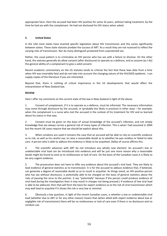appropriate facts. Here the accused had been HIV positive for some 16 years, without taking treatment, by the time he had sex with the complainant. He had not disclosed his HIV status when asked.

## **5. United States**

In the USA most states have enacted specific legislation about HIV transmission and this varies significantly between states. These state statutes predate the success of ART. As a result they are not nuanced to reflect the varying risks of transmission. Nor do many distinguish protected from unprotected sex.

Rather, the usual pattern is to criminalise an HIV person who has sex with a failure to disclose. On the other hand, the statutes generally do allow consent (after disclosure) to operate as a defence, and so assume (as I do) the general ability of a complainant to give a valid consent.

Recent academic commentary on the US statutes tends to criticise the fact that these laws date from a time when HIV was invariably fatal and do not take into account the changing nature of the HIV/AIDS epidemic. I can supply copies of the literature if you are interested.

Beyond that, there is nothing of critical importance in the US developments that would affect the interpretation of New Zealand law.

## **REVIEW**

Here I offer my comments on the current state of the law in New Zealand in light of the above.

1. Consent of complainant, if it is to operate as a defence, must be informed. The necessary information may come through disclosure by the accused, or (probably less likely in practice) in other ways – for example, when the complainant is a nurse who met the accused in the context of his treatment for HIV and so learned about his status in that way.

2. Consent must be given on the basis of actual knowledge of the accused's infection, and not simply knowledge that sex always carries a general risk of many types of infection. This is what I had assumed in 2004 but the recent UK cases require that we should be explicit about this.

3. When condoms are used it remains the case that an accused will be able to rely on scientific evidence as to risk, as well as his careful use, to raise a reasonable doubt as to whether he was reckless or failed to take care. A person who is able to adduce this evidence is likely to be acquitted. *Dalley* of course affirms this.

4. The scientific advances with ART do not introduce any wholly new element. An accused's low or undetectable viral load can be introduced into evidence and will be just one more reason why a reasonable doubt might be found to exist as to recklessness or lack of care. On the basis of the Canadian cases it is likely to be very cogent evidence.

5. The prosecution does not have to offer any evidence about the accused's viral load. They are likely to lead evidence of general statistics as to transmission. It is for the accused to adduce evidence that, if believed, can generate a degree of reasonable doubt so as to result in acquittal. As things stand, an HIV positive person who has sex without disclosure, is potentially able to be charged on the basis of general statistics about the risks of passing the virus to the partner. (I say "potentially" because if the person could produce evidence of viral load during the investigation then it may result in charges not being pressed.) If evidence of low viral load is able to be adduced, then that will form the basis for expert evidence as to the risk of viral transmission which may well lead to acquittal if it shows the risk is very low or minimal.

6. Obviously a key question, in light of the recent Canadian cases, is whether a low or undetectable viral load (whether due to ART or for any other reason) means that (when allied with expert evidence about low or negligible risk of transmission) there will be no recklessness or lack of care even if there is no disclosure and no condom use.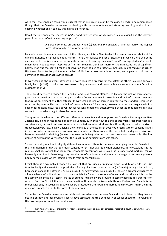As to that, the Canadian cases would suggest that in principle this can be the case. It needs to be remembered though that the Canadian cases are not dealing with the same offence and statutory wording, and so I must examine whether and if so how this makes a difference.

Recall that in Canada the charges in *Mabior* and *Cuerrier* were of aggravated sexual assault and the relevant part of the legal definition was (my emphasis):

> A person commits an offence when (a) *without the consent* of another person he applies force intentionally to that other person …

Lack of consent is made an element of the offence, as it is in New Zealand for sexual violation (but not for criminal nuisance or grievous bodily harm). There then follows the list of situations in which there will be no valid consent. One is when a person submits or does not resist by reason of "fraud" – interpreted in *Cuerrier* to mean deceit coupled with "deprivation" (in turn meaning significant harm or the significant risk of significant harm). That was the context for the observation that the use of protective measures might reduce the risk of HIV transmission to the point where the lack of disclosure does not vitiate consent, and a person could not be convicted of assault or aggravated assault.

In New Zealand the relevant offences are "with reckless disregard for the safety of others" causing grievous bodily harm (s 188) or failing to take reasonable precautions and reasonable care so as to commit "criminal nuisance" (s 145).

There are differences between the Canadian and New Zealand offences. In Canada the risk of harm analysis goes to the question of consent as part of the offence, whereas in New Zealand lack of consent does not feature as an element of either offence. In New Zealand risk of harm is relevant to the standard required in order to disprove recklessness or lack of reasonable care.<sup>3</sup> Even here, however, consent can negate criminal liability for reasons discussed above: that for reasons of personal autonomy it is accepted that persons can give consent to that which might otherwise be a crime.

The question is whether the different offences in New Zealand as opposed to Canada militate against New Zealand law going in the same direction as Canada, such that New Zealand courts might recognise that it is sufficient care, or is not reckless, to have unprotected sex when viral load is sufficiently low to make the risk of transmission very low. In New Zealand the criminality of the act of sex does not directly turn on consent; rather, it turns on whether reasonable care was taken or whether there was recklessness. But the degree of risk does become material in deciding (as we have seen in *Dalley*) whether the care taken was reasonable. The low degree of risk was the very reason that the Court found sufficient care was taken.

So each country reaches in slightly different ways what I think is the same underlying issue. In Canada it is relative smallness of risk that can mean consent to sex is not vitiated by non-disclosure. In New Zealand it is the relative smallness of risk that can mean reasonable precautions were taken (as in *Dalley*) and (perhaps, for we have only the dicta in *Mwai* to go on) that the use of condoms would preclude a charge of recklessly grievous bodily harm in cases where infection results from consensual sex.

I think there is a symmetry between the low risk that precludes a finding of breach of duty or recklessness (in New Zealand) and a low risk that precludes a finding of vitiated consent to sex (in Canada). It might be said that, because in Canada the offence is "sexual assault" or aggravated sexual assault", there is a greater willingness to allow evidence of a diminished risk to negate liability for such a serious offence (and that there might not be the same willingness if a "lesser" charge of criminal nuisance were brought in cases where no HIV transmission occurs). But I don't think that is a true explanation. Ultimately the issue in both New Zealand and Canada is the moral culpability in sexual transactions where precautions are taken and there is no disclosure. I think the same question is reached despite the form of the offences.

So, while the Canadian cases are certainly not precedents in the New Zealand court hierarchy, they have a bearing on how another country's courts have assessed the true criminality of sexual encounters involving an HIV positive person who does not disclose.

 $\overline{a}$ 

I say "disprove" only as shorthand for "adduce evidence that if believed can generate a reasonable doubt as to whether there was carelessness or recklessness".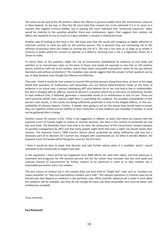The same can be said of the UK position, where the offence *is* grievous bodily harm (for transmission cases) as in New Zealand. As we saw, in *Dica* the UK court held that consent has to be informed if it is to count as a consent that negates criminal liability, but in passing the court indicated that "protective measures" taken would be material to the question whether there was recklessness. Again, that suggests that relative risk affects the standard of care as much as it does whether a consent is vitiated by fraud.

Another way of looking at the issue is this. We have seen that the courts will recognise as legally effective an informed consent to have sex with an HIV positive person. This is because they are consenting not to the infliction of grievous harm but simply to running the risk of it. The risk is not seen as so large as to render it contrary to public policy for consent to operate as a defence. Running such a risk is a legitimate choice for a citizen to make.

To return then, to the question: might the risk of transmission (established by evidence of viral loads and statistics as to transmission rates on the basis of those viral loads) be assessed so low that an HIV positive person would be held not to be reckless, and to have taken reasonable precautions, when he has sex without disclosure and without protections? The Canadian case would suggest that the answer to that question can be yes, in New Zealand, even though the offences are different.

That said, I think it would be very unwise to counsel HIV positive persons along these lines, at least at this stage. Recall that questions of recklessness and reasonable care are factual determinations made on the basis of evidence in an actual case. A person undergoing ART who believes his or her viral load is low or undetectable, but who is charged with an offence, would be placed in a position where he or she faces an evidentiary burden to lead evidence that, if believed, generates a reasonable doubt as to recklessness or lack of care. There are some practical pitfalls that a person might face in assembling this evidence: the possible unavailability of that person's test results, or the results not being sufficiently proximate in time to the alleged offence, or the nonavailability of relevant experts. Further, if people were going to act on this advice they would need to ensure they are regularly tested and are faithful to their treatment so that evidence was available if needed. It could not be gathered after a charge.

Another reason for caution is this. There is the suggestion in *Mabior*, at least, that there are reasons why the Supreme Court of Canada ought to review its *Cuerrier* decision, this time in the context of protected sex and low viral loads. The Manitoba Court hints that in its view, the seriousness of HIV transmission remains (despite its possible management by ART) and that many people might think that even a slight risk should vitiate their consent. The Supreme Court's 1998 *Cuerrier* dictum about protected sex being sufficiently safe was not a necessary part of its decision, for Cuerrier was charged with unprotected sex. So when it decides *Mabior*, the Supreme Court of Canada will be facing this issue for the first time.

I think it would be wise to await that decision and take further advice when it is available, which I would anticipate to be around July or August next year.

In the meantime, I think all that has happened since 2004 affirms the view then taken, and that advances in treatment and prognosis for HIV positive persons will (to the extent they translate into low viral loads and reduced chances of transmission) be further reasons to be advanced in court as to why condom use is reasonable precaution and is not reckless.

The very nature of criminal law in this context does not lend itself to "bright line" rules such as "condom use means acquittal" or "low viral load without condom use is safe". The relevant questions in criminal cases are all factual ones that depend on evidence in the particular case. What scientific advances do is make it more likely the evidence will be available, but they do not change the basic law (that reasonable care must be taken, and recklessness avoided).

Yours sincerely

#### **Paul Rishworth**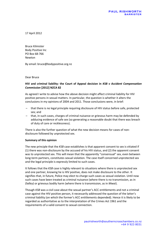17 April 2012

Bruce Kilmister Body Positive Inc PO Box 68-766 Newton

By email: bruce@bodypositive.org.nz

Dear Bruce

# **HIV and criminal liability: the Court of Appeal decision in** *KSB v Accident Compensation Commission* **[2012] NZCA 82**

As agreed I write to advise how the above decision might affect criminal liability for HIV positive persons in sexual matters. In particular, the question is whether it alters the conclusions in my opinions of 2004 and 2011. Those conclusions were, in brief:

- that there is no legal principle requiring disclosure of HIV status before safe, protected sex; and
- that, in such cases, charges of criminal nuisance or grievous harm may be defended by adducing evidence of safe sex (so generating a reasonable doubt that there was breach of duty of care or recklessness).

There is also the further question of what the new decision means for cases of nondisclosure followed by unprotected sex.

# **Summary of this opinion**

The new principle that the *KSB* case establishes is that apparent consent to sex is vitiated if (1) there was non-disclosure by the accused of his HIV status, and (2) the apparent consent was to unprotected sex. This will mean that the apparently "consensual" sex, even between long-term partners, constitutes sexual violation. The case itself concerned unprotected sex and the legal principle is expressly limited to such cases.

It follows that the *KSB* case is highly relevant to situations where there is unprotected sex and one partner, knowing he is HIV positive, does not make disclosure to the other. It signifies that, in future, Police may elect to charge such cases as sexual violation. Until now such cases have been treated as criminal nuisance (where there is no transmission, as in *Dalley*) or grievous bodily harm (where there is transmission, as in *Mwai*).

Though *KSB* was a civil case about the sexual partner's ACC entitlements and not a criminal case against the HIV positive person, it necessarily addressed the question of the latter's criminal liability (on which the former's ACC entitlements depended). Hence it is likely to be regarded as authoritative as to the interpretation of the Crimes Act 1961 and the requirements of a valid consent to sexual connection.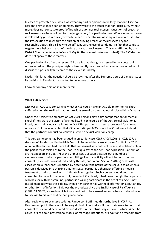In cases of protected sex, which was what my earlier opinions were largely about, I see no reason to revise those earlier opinions. They were to the effect that non-disclosure, without more, does not constitute proof of breach of duty, nor recklessness. Questions of breach or recklessness are issues of fact for the judge or jury in a particular case. Where non-disclosure is followed by *protected* sex (by which I mean the careful use of adequate condoms) it is for the Prosecution to discharge the burden of proving breach or recklessness beyond reasonable doubt. This is likely to be difficult. Careful use of condoms is a fact that tends to negate there being a breach of the duty of care, or recklessness. This was affirmed by the District Court's decision in *Police v Dalley* (in the criminal nuisance context). The *KSB* decision does not speak to these matters.

One particular risk after the recent KSB case is that, though expressed in the context of unprotected sex, the principle might subsequently be extended to cases of protected sex. I discuss this possibility but come to the view it is unlikely.

Lastly, I think that the question should be revisited after the Supreme Court of Canada issues its decision in *R v Mabior*, expected to be in June or July.

I now set out my opinion in more detail.

## **What KSB decides**

*KSB* was an ACC case concerning whether KSB could make an ACC claim for mental shock suffered when she realised that her previous sexual partner had not disclosed his HIV status.

Under the Accident Compensation Act 2001 persons may claim compensation for mental shock if they were the victim of a crime listed in Schedule 3 of the Act. Sexual violation is listed, but criminal nuisance is not. In fact KSB's partner had been prosecuted for criminal nuisance. But it was accepted that KSB could still get ACC cover if the Court were to hold that the partner's conduct *could* have justified a sexual violation charge.

This very same point had been argued in an earlier case, *CLM v ACC* [2006] 3 NZLR 127, a decision of Randerson J in the High Court. I discussed that case at pages 6 to 8 of my 2011 opinion. Randerson J had there held that consensual sex could not be sexual violation unless the partner was misled as to the "nature or quality" of the act. That expression is a term of art that appears in s 128A(7) of the Crimes Act, a section that sets out a number of circumstances in which a person's permitting of sexual activity will not be construed as consent. (It includes consent induced by threats, and so on.) Section 128A(7) deals with cases where a "consent" is induced by deceit about the nature of the sexual act, as when a person is deceived into thinking that her sexual partner is a therapist offering a medical treatment or a doctor making an intimate investigation. Such a person would not have consented to the act otherwise. But, down to *KSB* at least, it had been thought that a person who has sex with her (genuine) partner is a willing participant in the act of sex. She is not mistaken about what she is doing, even if her partner has withheld information about an HIV or other form of infection. This was the orthodoxy since the English case of *R v Clarence* (1889) 22 QB 23, a case in which it was held not to be a sexual assault when a husband failed to disclose to his wife that he had gonorrhoea.

After reviewing relevant precedents, Randerson J affirmed this orthodoxy in *CLM.* As Randerson J put it, there would be very difficult lines to draw if the courts were to hold that consent to sex could be vitiated by non-disclosure or untruths by a sexual partner. What, he asked, of lies about professional status, or marriage intentions, or about one's freedom from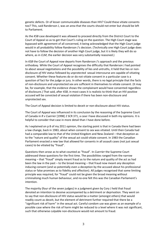genetic defects. Or of lesser communicable diseases than HIV? Could these vitiate consents too? This, said Randerson J, was an area that the courts should not enter but should be left to Parliament.

As the *KSB* case developed it was allowed to proceed directly from the District Court to the Court of Appeal so as to get that Court's ruling on the question. The High Court stage was bypassed with agreement of all concerned, it being acknowledged that the High Court judge would in all probability follow Randerson J's decision. (Technically one High Court judge does not have to follow the decision of another High Court judge, but it is likely they will do so where, as in *CLM*, the earlier decision was very substantially reasoned.)

In *KSB* the Court of Appeal now departs from Randerson J's approach and the previous orthodoxy. While the Court of Appeal recognises the difficulty that Randerson J had pointed to about sexual negotiations and the possibility of lies and untruths, it held that lies or nondisclosure *of HIV status* followed by *unprotected* sexual intercourse are capable of vitiating consent. Whether these features do or do not vitiate consent in a particular case is a question of fact for the judge or jury. In other words, there is no legal principle that the facts of non-disclosure and unprotected sex are sufficient in themselves to vitiate consent. (It may be, for example, that the evidence shows the complainant would have consented regardless of disclosure.) That said, after *KSB*, in most cases it is realistic to think that an HIV positive accused will be convicted of sexual violation if there has been non-disclosure and unprotected sex.

The Court of Appeal decision is limited to deceit or non-disclosure about HIV status.

The Court of Appeal was influenced in its conclusion by the reasoning of the Supreme Court of Canada in *R v Cuerrier* [1998] 2 SCR 371, a case I have discussed in both my opinions. It is helpful to consider that case in more detail than I have done before.

As I explained on p 8 of my 2011 opinion, the starting point is that in Canada there had been a law change, back in 1983, about when consent to sex was vitiated. Until then Canada had had a comparable law to that of the United Kingdom and New Zealand – that deception as to the "nature and quality" of the sexual act could vitiate consent. In 1983 the Canadian Parliament enacted a new law that allowed for consents in all assault cases (not just sexual cases) to be vitiated by "fraud".

Questions then arose as to what counted as "fraud". In *Cuerrier* the Supreme Court addressed these questions for the first time. The possibilities ranged from the narrow meaning – that "fraud" simply meant fraud as to the nature and quality of the act as had been the law in the past – to the broad meaning – that fraud now meant *any* deception inducing consent (and so potentially even a deception by the accused about his professional status or false promises as to fidelity and affection). All judges recognised that some limiting principle was required, for "fraud" could not be given the broad meaning without criminalising much human behaviour, and no-one felt this was the Canadian Parliament's intention.

The majority (four of the seven judges) in a judgment given by Cory J held that fraud denoted an intention to deceive accompanied by a detriment or deprivation. They went on to say that non-disclosure of HIV status would be a matter (amongst others) that would readily count as deceit, but the element of detriment further required that there be a "significant risk of harm" in the sexual act. Careful condom use was given as an example of a possible case where the risk of harm might be reduced to a level where it was not significant, such that otherwise culpable non-disclosure would not amount to fraud.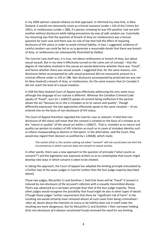In my 2004 opinion I placed reliance on that approach. It informed my view that, in New Zealand, it would not necessarily count as criminal nuisance (under s 145 of the Crimes Act 1961), or recklessness (under s 188), if a person, knowing he was HIV positive, had sex with another without disclosure *while taking precautions by way of safe condom use*. Essentially my reasoning was that the question of breach of duty (or recklessness) was a factual question for each case and there was no rule of law that had the effect of requiring disclosure of HIV status in order to avoid criminal liability. In fact, I suggested, evidence of careful condom use could be led so as to generate a reasonable doubt that there was breach of duty, or recklessness (as subsequently illustrated by *Dalley*).

The *Cuerrier* case itself was, it is true, not about recklessness or breach of duty, but about sexual assault. But in my view it effectively turned on the same sort of concept – that the degree of risk/safety involved in the sexual act would determine whether there was "fraud", and hence whether there was sexual assault. I suggested that, for the same reasons, nondisclosure (when accompanied by safe sexual practices) did not necessarily amount to a criminal offence under ss 145 or 188. Non-disclosure accompanied by *protected* sex was not (in New Zealand) a breach of duty, or recklessness, for the same reasons that (in Canada) it did not reach the level of a sexual violation.

In *KSB* the New Zealand Court of Appeal was effectively addressing the very same issue, although the language of our statute is different. Whereas the Canadian Criminal Code speaks of "fraud", ours (in s 128A(7)) speaks of consent being ineffective if the partner allows the act "because he or she is mistaken as to its nature and quality". Though differently expressed, the two approaches effectively speak to the same situation  $-$  of sex entered into on the basis of non-disclosure of HIV status.

The Court of Appeal therefore regarded the *Cuerrier* case as relevant. It held that nondisclosure of HIV status *will* mean that the consent is vitiated on the basis of a mistake as to the "nature or quality" of the sexual act within s 128A(7). That is, mistakes as to nature and quality can pertain to matters of HIV infection as much as to cases of mistaken identity such as villains masquerading as doctors or therapists. In the alternative, said the Court, they would also regard their decision as justified by s 128A(8), which reads:

This section [that is, this section setting out when "consent" will not count] does not limit the circumstances in which a person does not consent to sexual activity.

In other words, theirs was a new approach to the question of principle ("what counts as consent?") and the legislation was expressly written so as to contemplate that Courts might develop new ways in which consent is taken to be vitiated.

In taking this approach, the Court of Appeal has adopted the limiting principle articulated by a further two of the seven judges in *Cuerrier* (rather than the four judge majority described above)*.*

These two judges, McLachlin CJ and Gonthier J, held that there will be "fraud" if consent is induced by *non-disclosure of the accused's infection with a sexually transmitted disease*. Theirs was advanced as a narrower principle than that of the four-judge majority. Those other judges would recognise the possibility that fraud might lie also in other types of deceit. (Though those judges' further requirement that there be "significant risk of harm" in the resulting sex would certainly have removed almost all such cases from being criminalised – after all, deceit about the intention to marry or be faithful does not in itself make the resulting sex more dangerous). But for McLachlin CJ and Gonthier J their narrower holding (that *non-disclosure of a disease* constituted fraud) removed the need for any limiting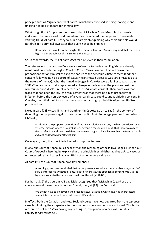principle such as "significant risk of harm", which they criticised as being too vague and uncertain to be a standard for criminal law.

What is significant for present purposes is that McLachlin CJ and Gonthier J expressly addressed the question of condoms when they formulated their approach to consentvitiating fraud. At para [73] they said, in a paragraph explaining why their principle would not drag in (to criminal law) cases that ought not to be criminal:

[P]rotected sex would not be caught; the common law pre-*Clarence* required that there be a high risk or probability of transmitting the disease.

So, in other words, the risk of harm *does* feature, even in their formulation.

The reference to the law pre-*Clarence* is a reference to the leading English case already mentioned, in which the English Court of Crown Cases Reserved first laid down the proposition that only mistakes as to the nature of the act could vitiate consent (and that consent following non-disclosure of sexually transmitted diseases was *not* a mistake as to the nature of the act). What the Canadian judges in *Cuerrier* were alluding to was that in 1888 *Clarence* had actually represented a change in the law from the previous position whereunder non-disclosure of veneral diseases *did* vitiate consent. Their point was that, *when* that had been the law, the requirement was that there be a high probability of infection before the non-disclosure of a venereal disease could count as vitiating consent. In *Cuerrier*, then, their point was that there was no such high probability of getting HIV from protected sex.

Next, in para [74] McLachlin CJ and Gonthier J in *Cuerrier* go on to say (in the context of defending their approach against the charge that it might discourage persons from taking HIV tests):

In addition, the proposed extension of the law is relatively narrow, catching only deceit as to venereal disease where it is established, beyond a reasonable doubt, that there was a high risk of infection and that the defendant knew or ought to have known that the fraud *actually induced consent to unprotected sex.*

Once again, then, the principle is limited to unprotected sex.

In *KSB* our Court of Appeal relies explicitly on the reasoning of these two judges. Further, our Court of Appeal is itself quite explicit that the principle it establishes applies *only* to cases of unprotected sex and cases involving HIV, not other venereal diseases.

At para [98] the Court of Appeal says (my emphasis):

Accordingly, we have concluded that in the present case where there has been *unprotected* sexual intercourse without disclosure as to HIV status, the appellant's consent was vitiated by a mistake as to the nature and quality of the act (s 128A(7)).

Further, at [89] the Court in *KSB* explicitly recognised that "McLachlin CJ said use of a condom would mean there is no fraud". And, then, at [92] the Court said:

We do not have to go beyond the present factual situation, which involves unprotected sexual intercourse and non-disclosure of HIV status.

In effect, both the Canadian and New Zealand courts have now departed from the *Clarence* case, but limiting their departure to the situations where condoms are not used. This is the reason I do not see *KSB* as having any bearing on my opinion insofar as as it relates to liability for *protected* sex.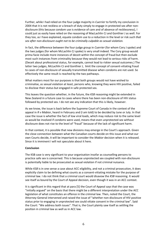Further, while I had relied on the four-judge majority in *Cuerrier* to fortify my conclusion in 2004 that it is not reckless or a breach of duty simply to engage in protected sex after nondisclosure (this because condom use is evidence of care and of absence of recklessness), I could just as easily have relied on the reasoning of MacLachlin CJ and Gonthier J as well. For they too, as I have explained, equate condom use to a reduction in the level or risk *such that sex after non-disclosure ought not to be criminally culpable as sexual violation.*

In fact, the difference between the four-judge group in *Cuerrier* (for whom Cory J spoke) and the two judges (for whom McLachlin CJ spoke) is very small indeed. The Cory group would prima facie include more instances of deceit within the concept of fraud but then exclude most such instances from criminality because they would not lead to serious risks of harm. (Deceit about professional status, for example, cannot lead to riskier sexual outcomes.) The latter two judges, McLachlin CJ and Gonthier J, limit the concept of consent-vitiating fraud to cases of non-disclosure of sexually transmitted disease when condoms are not used. So effectively the same result is reached by the two pathways.

What matters most for our purposes is that both groups would not have wished to criminalise, as sexual violation at least, persons who, knowing they were HIV positive, failed to disclose their status but engaged in safe protected sex.

This leaves the question whether, in the future, the *KSB* reasoning might be extended in New Zealand in a future case to cases where there has been non-disclosure of HIV status followed by protected sex. I do not see any indication that this is likely, however.

As we know, the issue is back before the Supreme Court of Canada in the context of the appeal in *R v Mabior*, heard in February and (I am told) to be decided by June or July. In that case the issue is whether the fact of low viral loads, which may reduce risk to the same level as would be involved if condoms were used, means that even unprotected sex without disclosure does not rise to the level of "fraud" because of the lack of significant harm.

In that context, it is possible that new divisions may emerge in the Court's approach. Given the close connection between what the Canadian courts decide on this issue and what our own Courts decide, it will be important to consider the *Mabior* decision when it is released. Since it is imminent I will not speculate about it here.

# **Conclusion**

The KSB case is very significant to your organisation insofar as counselling persons to practice safe sex is concerned. This is because unprotected sex coupled with non-disclosure is potentially liable to be prosecuted as sexual violation if not criminal nuisance.

While *KSB* is in one sense a case about ACC eligibility, and not a criminal prosecution, it does explicitly claim to be defining what counts as a consent-vitiating mistake for the purpose of criminal law. I do not think that a criminal court would disavow the *KSB* reasoning. It would see itself as bound by the Court of Appeal decision, even though it was in an ACC context.

It is significant in this regard that at para [5] the Court of Appeal says that the case was "initially argued" on the basis that there might be a different interpretation under the ACC legislation of what constitutes an offence in the criminal law. Then, noted the Court, the Attorney-General intervened and raised the issue of "whether non-disclosure of HIV positive status prior to engaging in unprotected sex could vitiate consent in the criminal law". Said the Court: "We address both issues". That is, the Court plainly saw itself as settling the position in criminal law as well as in ACC law.